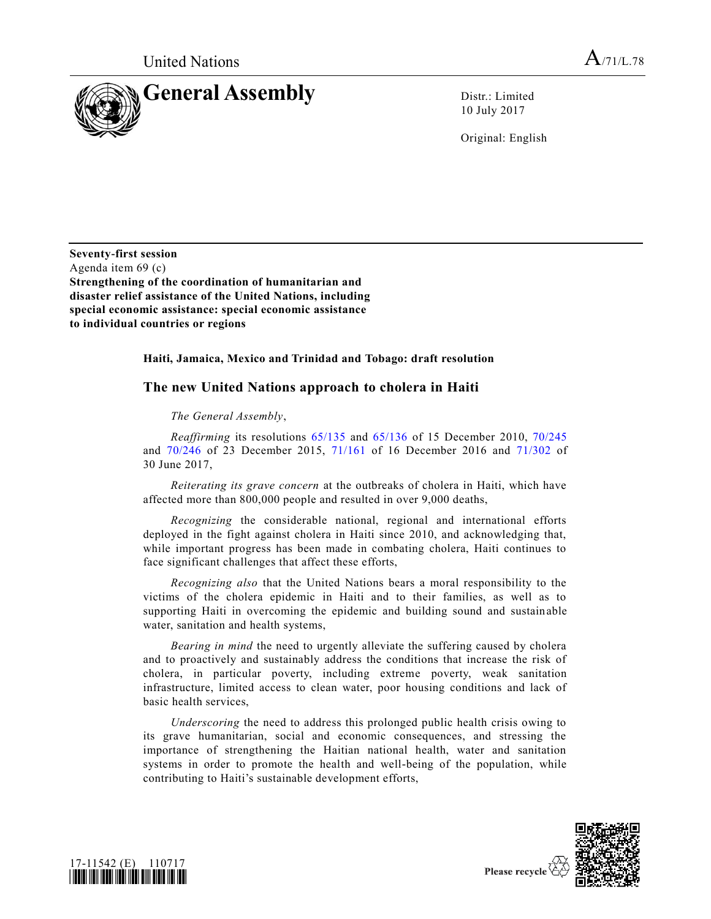

10 July 2017

Original: English

**Seventy-first session** Agenda item 69 (c) **Strengthening of the coordination of humanitarian and disaster relief assistance of the United Nations, including special economic assistance: special economic assistance to individual countries or regions**

## **Haiti, Jamaica, Mexico and Trinidad and Tobago: draft resolution**

## **The new United Nations approach to cholera in Haiti**

## *The General Assembly*,

*Reaffirming* its resolutions [65/135](https://undocs.org/A/RES/65/135) and [65/136](https://undocs.org/A/RES/65/136) of 15 December 2010, [70/245](https://undocs.org/A/RES/70/245) and [70/246](https://undocs.org/A/RES/70/246) of 23 December 2015, [71/161](https://undocs.org/A/RES/71/161) of 16 December 2016 and [71/302](https://undocs.org/A/RES/71/302) of 30 June 2017,

*Reiterating its grave concern* at the outbreaks of cholera in Haiti, which have affected more than 800,000 people and resulted in over 9,000 deaths,

*Recognizing* the considerable national, regional and international efforts deployed in the fight against cholera in Haiti since 2010, and acknowledging that, while important progress has been made in combating cholera, Haiti continues to face significant challenges that affect these efforts,

*Recognizing also* that the United Nations bears a moral responsibility to the victims of the cholera epidemic in Haiti and to their families, as well as to supporting Haiti in overcoming the epidemic and building sound and sustainable water, sanitation and health systems,

*Bearing in mind* the need to urgently alleviate the suffering caused by cholera and to proactively and sustainably address the conditions that increase the risk of cholera, in particular poverty, including extreme poverty, weak sanitation infrastructure, limited access to clean water, poor housing conditions and lack of basic health services,

*Underscoring* the need to address this prolonged public health crisis owing to its grave humanitarian, social and economic consequences, and stressing the importance of strengthening the Haitian national health, water and sanitation systems in order to promote the health and well-being of the population, while contributing to Haiti's sustainable development efforts,



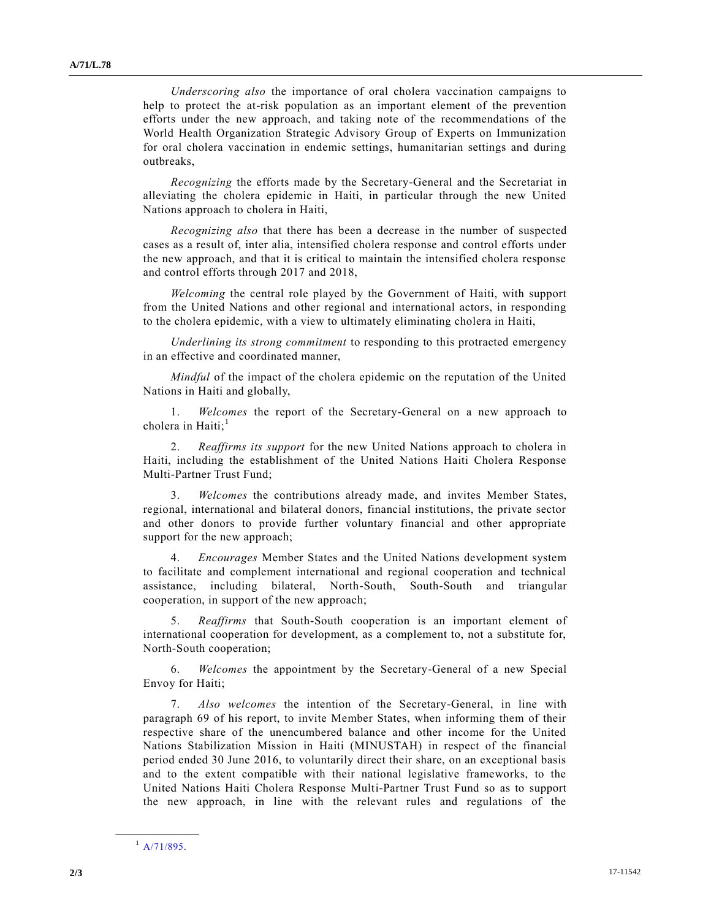*Underscoring also* the importance of oral cholera vaccination campaigns to help to protect the at-risk population as an important element of the prevention efforts under the new approach, and taking note of the recommendations of the World Health Organization Strategic Advisory Group of Experts on Immunization for oral cholera vaccination in endemic settings, humanitarian settings and during outbreaks,

*Recognizing* the efforts made by the Secretary-General and the Secretariat in alleviating the cholera epidemic in Haiti, in particular through the new United Nations approach to cholera in Haiti,

*Recognizing also* that there has been a decrease in the number of suspected cases as a result of, inter alia, intensified cholera response and control efforts under the new approach, and that it is critical to maintain the intensified cholera response and control efforts through 2017 and 2018,

*Welcoming* the central role played by the Government of Haiti, with support from the United Nations and other regional and international actors, in responding to the cholera epidemic, with a view to ultimately eliminating cholera in Haiti,

*Underlining its strong commitment* to responding to this protracted emergency in an effective and coordinated manner,

*Mindful* of the impact of the cholera epidemic on the reputation of the United Nations in Haiti and globally,

1. *Welcomes* the report of the Secretary-General on a new approach to cholera in Haiti; $<sup>1</sup>$ </sup>

2. *Reaffirms its support* for the new United Nations approach to cholera in Haiti, including the establishment of the United Nations Haiti Cholera Response Multi-Partner Trust Fund;

3. *Welcomes* the contributions already made, and invites Member States, regional, international and bilateral donors, financial institutions, the private sector and other donors to provide further voluntary financial and other appropriate support for the new approach;

4. *Encourages* Member States and the United Nations development system to facilitate and complement international and regional cooperation and technical assistance, including bilateral, North-South, South-South and triangular cooperation, in support of the new approach;

5. *Reaffirms* that South-South cooperation is an important element of international cooperation for development, as a complement to, not a substitute for, North-South cooperation;

6. *Welcomes* the appointment by the Secretary-General of a new Special Envoy for Haiti;

7. *Also welcomes* the intention of the Secretary-General, in line with paragraph 69 of his report, to invite Member States, when informing them of their respective share of the unencumbered balance and other income for the United Nations Stabilization Mission in Haiti (MINUSTAH) in respect of the financial period ended 30 June 2016, to voluntarily direct their share, on an exceptional basis and to the extent compatible with their national legislative frameworks, to the United Nations Haiti Cholera Response Multi-Partner Trust Fund so as to support the new approach, in line with the relevant rules and regulations of the